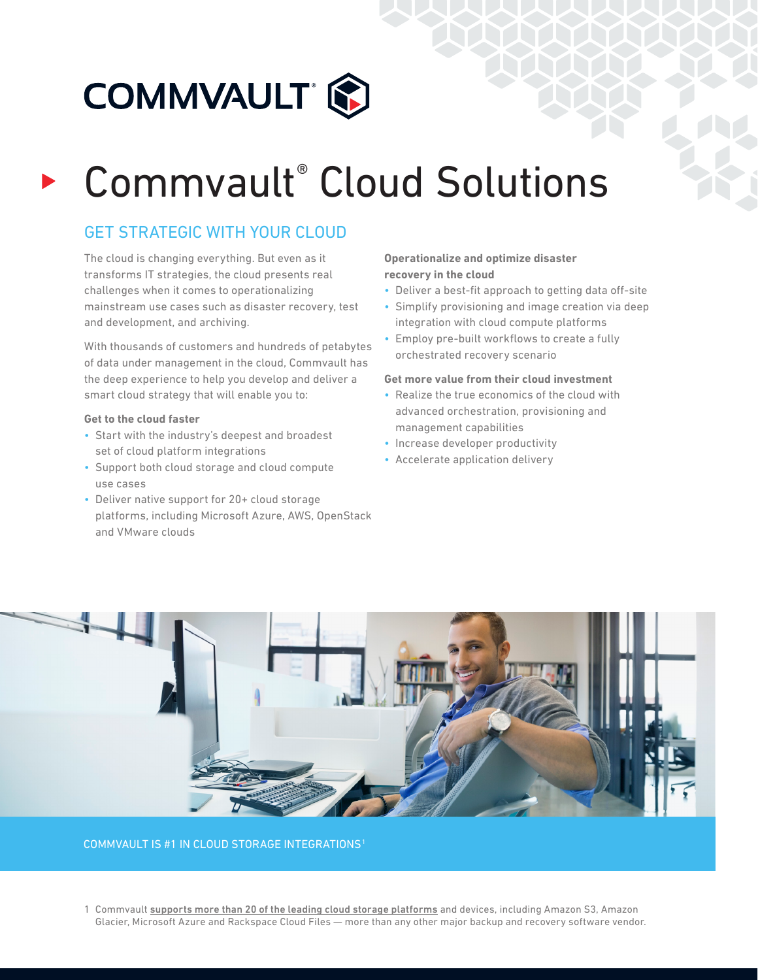

# Commvault® Cloud Solutions

## GET STRATEGIC WITH YOUR CLOUD

The cloud is changing everything. But even as it transforms IT strategies, the cloud presents real challenges when it comes to operationalizing mainstream use cases such as disaster recovery, test and development, and archiving.

With thousands of customers and hundreds of petabytes of data under management in the cloud, Commvault has the deep experience to help you develop and deliver a smart cloud strategy that will enable you to:

#### **Get to the cloud faster**

- Start with the industry's deepest and broadest set of cloud platform integrations
- Support both cloud storage and cloud compute use cases
- Deliver native support for 20+ cloud storage platforms, including Microsoft Azure, AWS, OpenStack and VMware clouds

#### **Operationalize and optimize disaster recovery in the cloud**

- Deliver a best-fit approach to getting data off-site
- Simplify provisioning and image creation via deep integration with cloud compute platforms
- Employ pre-built workflows to create a fully orchestrated recovery scenario

#### **Get more value from their cloud investment**

- Realize the true economics of the cloud with advanced orchestration, provisioning and management capabilities
- Increase developer productivity
- Accelerate application delivery



#### COMMVAULT IS #1 IN CLOUD STORAGE INTEGRATIONS1

1 Commvault supports more than 20 of the leading cloud storage platforms and devices, including Amazon S3, Amazon Glacier, Microsoft Azure and Rackspace Cloud Files — more than any other major backup and recovery software vendor.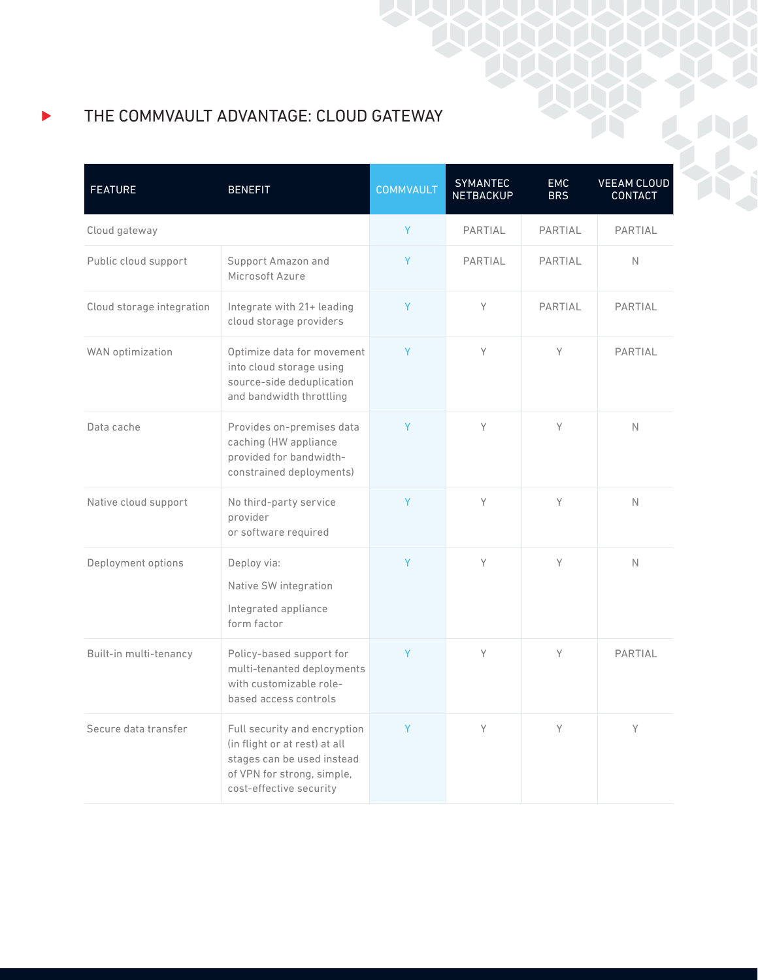THE COMMVAULT ADVANTAGE: CLOUD GATEWAY

| <b>FEATURE</b>            | <b>BENEFIT</b>                                                                                                                                       | <b>COMMVAULT</b> | <b>SYMANTEC</b><br><b>NETBACKUP</b> | <b>EMC</b><br><b>BRS</b> | <b>VEEAM CLOUD</b><br><b>CONTACT</b> |
|---------------------------|------------------------------------------------------------------------------------------------------------------------------------------------------|------------------|-------------------------------------|--------------------------|--------------------------------------|
| Cloud gateway             |                                                                                                                                                      | Y                | PARTIAL                             | <b>PARTIAL</b>           | <b>PARTIAL</b>                       |
| Public cloud support      | Support Amazon and<br>Microsoft Azure                                                                                                                | Y                | PARTIAL                             | PARTIAI                  | $\mathbb N$                          |
| Cloud storage integration | Integrate with 21+ leading<br>cloud storage providers                                                                                                | Y                | Y                                   | PARTIAL                  | PARTIAL                              |
| WAN optimization          | Optimize data for movement<br>into cloud storage using<br>source-side deduplication<br>and bandwidth throttling                                      | Y                | Y                                   | Y                        | PARTIAL                              |
| Data cache                | Provides on-premises data<br>caching (HW appliance<br>provided for bandwidth-<br>constrained deployments)                                            | Y                | Y                                   | Y                        | $\mathbb N$                          |
| Native cloud support      | No third-party service<br>provider<br>or software required                                                                                           | Y                | Y                                   | Y                        | $\mathbb N$                          |
| Deployment options        | Deploy via:<br>Native SW integration<br>Integrated appliance<br>form factor                                                                          | Y                | Y                                   | Y                        | N                                    |
| Built-in multi-tenancy    | Policy-based support for<br>multi-tenanted deployments<br>with customizable role-<br>based access controls                                           | Y                | Y                                   | Y                        | PARTIAL                              |
| Secure data transfer      | Full security and encryption<br>(in flight or at rest) at all<br>stages can be used instead<br>of VPN for strong, simple,<br>cost-effective security | Y                | Y                                   | Y                        | Y                                    |

ь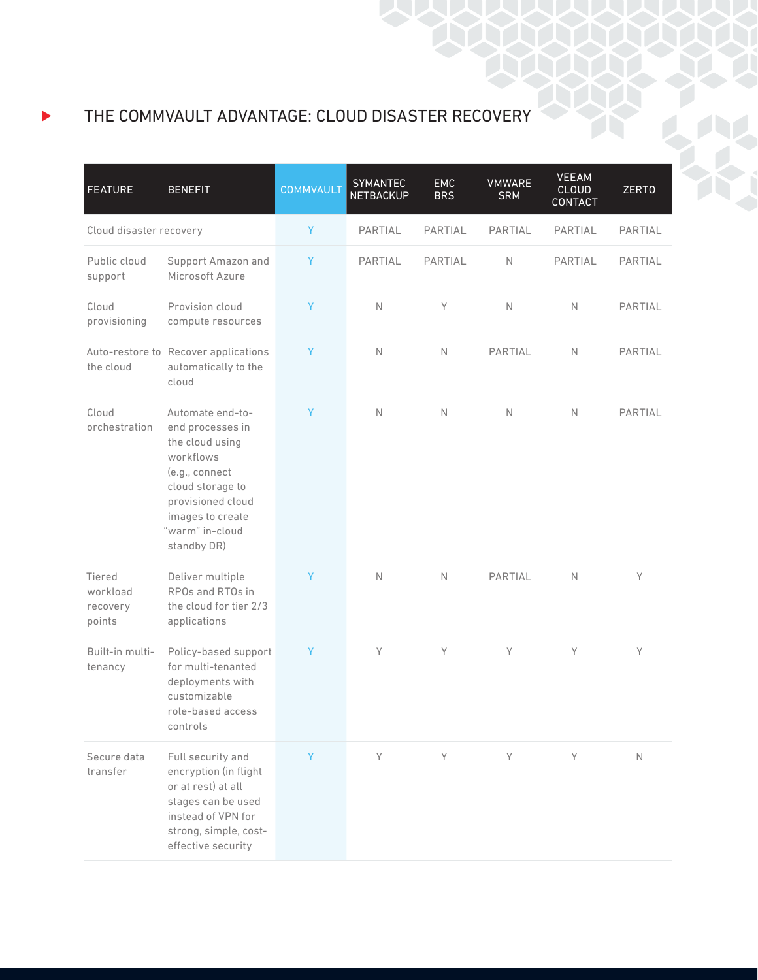## THE COMMVAULT ADVANTAGE: CLOUD DISASTER RECOVERY

| <b>FEATURE</b>                           | <b>BENEFIT</b>                                                                                                                                                                        | <b>COMMVAULT</b> | <b>SYMANTEC</b><br><b>NETBACKUP</b> | <b>EMC</b><br><b>BRS</b> | <b>VMWARE</b><br><b>SRM</b> | <b>VEEAM</b><br><b>CLOUD</b><br><b>CONTACT</b> | <b>ZERTO</b> |
|------------------------------------------|---------------------------------------------------------------------------------------------------------------------------------------------------------------------------------------|------------------|-------------------------------------|--------------------------|-----------------------------|------------------------------------------------|--------------|
| Cloud disaster recovery                  |                                                                                                                                                                                       | Y                | PARTIAL                             | PARTIAL                  | PARTIAL                     | PARTIAL                                        | PARTIAL      |
| Public cloud<br>support                  | Support Amazon and<br>Microsoft Azure                                                                                                                                                 | Y                | PARTIAL                             | PARTIAL                  | N                           | PARTIAL                                        | PARTIAL      |
| Cloud<br>provisioning                    | Provision cloud<br>compute resources                                                                                                                                                  | Y                | $\mathbb N$                         | Y                        | $\mathbb N$                 | $\mathbb N$                                    | PARTIAL      |
| the cloud                                | Auto-restore to Recover applications<br>automatically to the<br>cloud                                                                                                                 | Y                | $\mathbb N$                         | $\mathbb N$              | PARTIAL                     | $\mathbb N$                                    | PARTIAL      |
| Cloud<br>orchestration                   | Automate end-to-<br>end processes in<br>the cloud using<br>workflows<br>(e.g., connect<br>cloud storage to<br>provisioned cloud<br>images to create<br>"warm" in-cloud<br>standby DR) | Y                | $\mathbb N$                         | $\mathbb N$              | $\mathbb N$                 | $\mathbb N$                                    | PARTIAL      |
| Tiered<br>workload<br>recovery<br>points | Deliver multiple<br>RPOs and RTOs in<br>the cloud for tier 2/3<br>applications                                                                                                        | Y                | $\mathbb N$                         | $\mathbb N$              | PARTIAL                     | $\mathbb N$                                    | Y            |
| Built-in multi-<br>tenancy               | Policy-based support<br>for multi-tenanted<br>deployments with<br>customizable<br>role-based access<br>controls                                                                       | Y                | Y                                   | Y                        | Y                           | Y                                              | Y            |
| Secure data<br>transfer                  | Full security and<br>encryption (in flight<br>or at rest) at all<br>stages can be used<br>instead of VPN for<br>strong, simple, cost-<br>effective security                           | Y                | Y                                   | Y                        | Y                           | Y                                              | $\mathbb N$  |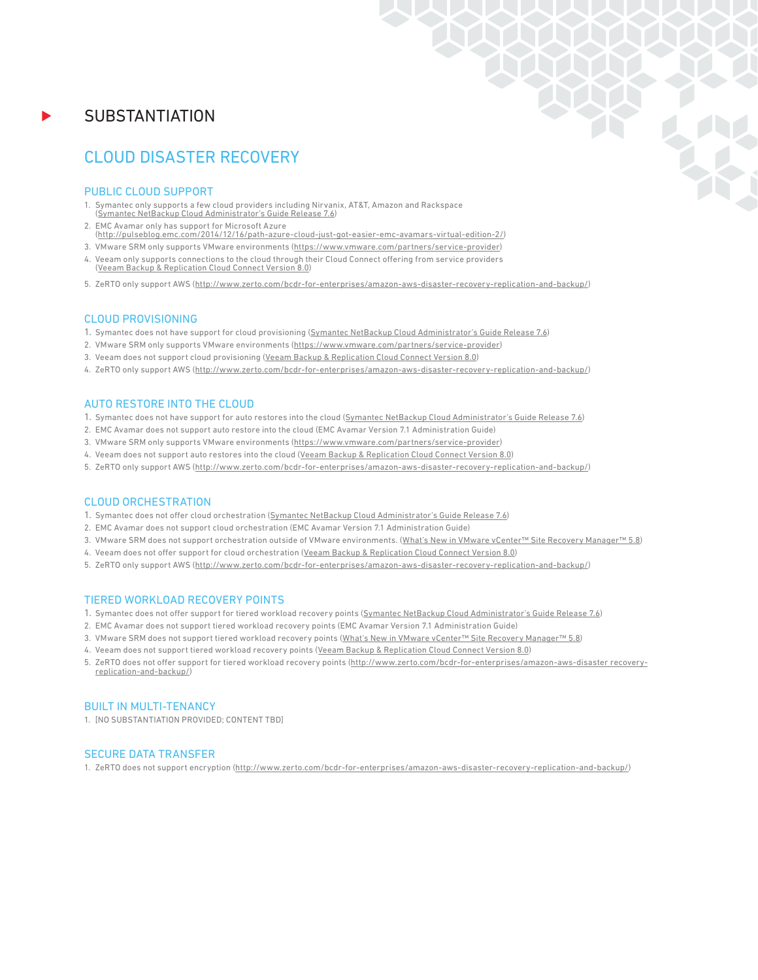### **SUBSTANTIATION**

## CLOUD DISASTER RECOVERY

#### PUBLIC CLOUD SUPPORT

- 1. Symantec only supports a few cloud providers including Nirvanix, AT&T, Amazon and Rackspace (Symantec NetBackup Cloud Administrator's Guide Release 7.6)
- 2. EMC Avamar only has support for Microsoft Azure (http://pulseblog.emc.com/2014/12/16/path-azure-cloud-just-got-easier-emc-avamars-virtual-edition-2/)
- 3. VMware SRM only supports VMware environments (https://www.vmware.com/partners/service-provider)
- 4. Veeam only supports connections to the cloud through their Cloud Connect offering from service providers (Veeam Backup & Replication Cloud Connect Version 8.0)
- 5. ZeRTO only support AWS (http://www.zerto.com/bcdr-for-enterprises/amazon-aws-disaster-recovery-replication-and-backup/)

#### CLOUD PROVISIONING

- 1. Symantec does not have support for cloud provisioning (Symantec NetBackup Cloud Administrator's Guide Release 7.6)
- 2. VMware SRM only supports VMware environments (https://www.vmware.com/partners/service-provider)
- 3. Veeam does not support cloud provisioning (Veeam Backup & Replication Cloud Connect Version 8.0)
- 4. ZeRTO only support AWS (http://www.zerto.com/bcdr-for-enterprises/amazon-aws-disaster-recovery-replication-and-backup/)

#### AUTO RESTORE INTO THE CLOUD

- 1. Symantec does not have support for auto restores into the cloud (Symantec NetBackup Cloud Administrator's Guide Release 7.6)
- 2. EMC Avamar does not support auto restore into the cloud (EMC Avamar Version 7.1 Administration Guide)
- 3. VMware SRM only supports VMware environments (https://www.vmware.com/partners/service-provider)
- 4. Veeam does not support auto restores into the cloud (Veeam Backup & Replication Cloud Connect Version 8.0)
- 5. ZeRTO only support AWS (http://www.zerto.com/bcdr-for-enterprises/amazon-aws-disaster-recovery-replication-and-backup/)

#### CLOUD ORCHESTRATION

- 1. Symantec does not offer cloud orchestration (Symantec NetBackup Cloud Administrator's Guide Release 7.6)
- 2. EMC Avamar does not support cloud orchestration (EMC Avamar Version 7.1 Administration Guide)
- 3. VMware SRM does not support orchestration outside of VMware environments. (What's New in VMware vCenter™ Site Recovery Manager™ 5.8)
- 4. Veeam does not offer support for cloud orchestration (Veeam Backup & Replication Cloud Connect Version 8.0)
- 5. ZeRTO only support AWS (http://www.zerto.com/bcdr-for-enterprises/amazon-aws-disaster-recovery-replication-and-backup/)

#### TIERED WORKLOAD RECOVERY POINTS

- 1. Symantec does not offer support for tiered workload recovery points (Symantec NetBackup Cloud Administrator's Guide Release 7.6)
- 2. EMC Avamar does not support tiered workload recovery points (EMC Avamar Version 7.1 Administration Guide)
- 3. VMware SRM does not support tiered workload recovery points (What's New in VMware vCenter™ Site Recovery Manager™ 5.8)
- 4. Veeam does not support tiered workload recovery points (Veeam Backup & Replication Cloud Connect Version 8.0)
- 5. ZeRTO does not offer support for tiered workload recovery points (http://www.zerto.com/bcdr-for-enterprises/amazon-aws-disaster recoveryreplication-and-backup/)

#### BUILT IN MULTI-TENANCY

1. [NO SUBSTANTIATION PROVIDED; CONTENT TBD]

#### SECURE DATA TRANSFER

1. ZeRTO does not support encryption (http://www.zerto.com/bcdr-for-enterprises/amazon-aws-disaster-recovery-replication-and-backup/)